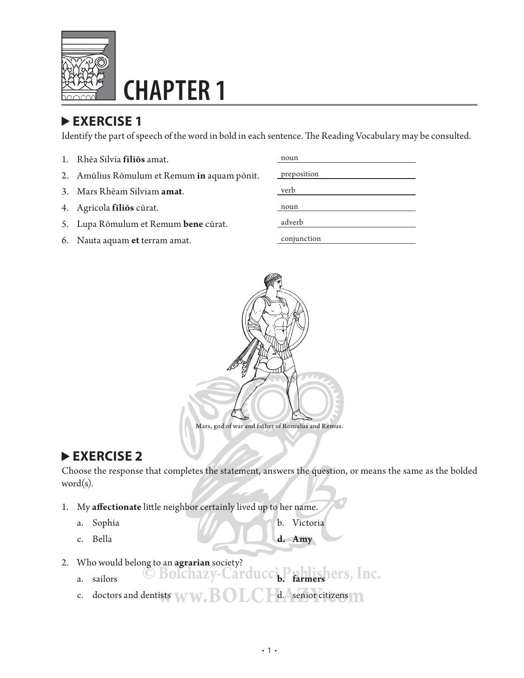

# **CHAPTER 1**

### **EXERCISE 1**

Identify the part of speech of the word in bold in each sentence. The Reading Vocabulary may be consulted.

- 1. Rhēa Silvia filios amat.
- 2. Amūlius Rōmulum et Remum in aquam pōnit.
- 3. Mars Rhēam Silviam amat.
- 4. Agricola **fīliōs** cūrat.
- 5. Lupa Rōmulum et Remum **bene** cūrat.
- 6. Nauta aquam et terram amat.

| noun        |
|-------------|
|             |
| preposition |
|             |
| verb        |
|             |
| noun        |
|             |
| adverb      |
|             |
| conjunction |



#### **EXERCISE 2**

Choose the response that completes the statement, answers the question, or means the same as the bolded word(s).

- 1. My affectionate little neighbor certainly lived up to her name.
	-
	- a. Sophia b. Victoria
	- c. Bella **d. Amy**
- 2. Who would belong to an **agrarian** society?
	- Who would belong to an **agrarian** society?<br>a. sailors **CEOChazy-Carducci<sub>b</sub>. Farmers let's**, Inc.
	- c. doctors and dentists  $\sqrt{}$ d. senior citizens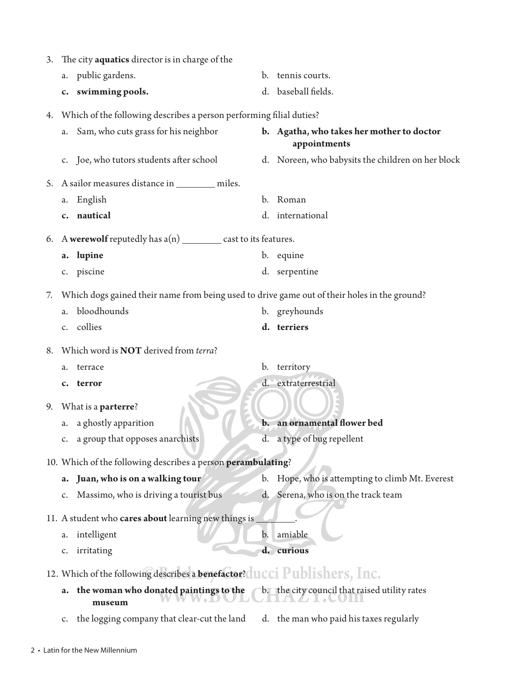| 3. |                | The city <b>aquatics</b> director is in charge of the                                        |                |                                                           |
|----|----------------|----------------------------------------------------------------------------------------------|----------------|-----------------------------------------------------------|
|    | a.             | public gardens.                                                                              | $\mathbf{b}$ . | tennis courts.                                            |
|    |                | c. swimming pools.                                                                           | d.             | baseball fields.                                          |
| 4. |                | Which of the following describes a person performing filial duties?                          |                |                                                           |
|    | а.             | Sam, who cuts grass for his neighbor                                                         |                | b. Agatha, who takes her mother to doctor<br>appointments |
|    |                | Joe, who tutors students after school                                                        |                | d. Noreen, who babysits the children on her block         |
| 5. |                | A sailor measures distance in __________ miles.                                              |                |                                                           |
|    | a.             | English                                                                                      | b.             | Roman                                                     |
|    |                | c. nautical                                                                                  |                | d. international                                          |
| 6. |                | A werewolf reputedly has $a(n)$ ___________ cast to its features.                            |                |                                                           |
|    | a.             | lupine                                                                                       |                | b. equine                                                 |
|    |                | c. piscine                                                                                   |                | d. serpentine                                             |
| 7. |                | Which dogs gained their name from being used to drive game out of their holes in the ground? |                |                                                           |
|    | a.             | bloodhounds                                                                                  |                | b. greyhounds                                             |
|    |                | c. collies                                                                                   |                | d. terriers                                               |
| 8. |                | Which word is <b>NOT</b> derived from terra?                                                 |                |                                                           |
|    | a.             | terrace                                                                                      |                | b. territory                                              |
|    | $\mathbf{c}$ . | terror                                                                                       |                | d. extraterrestrial                                       |
| 9. |                | What is a parterre?                                                                          |                |                                                           |
|    | a.             | a ghostly apparition                                                                         |                | an ornamental flower bed                                  |
|    | c.             | a group that opposes anarchists                                                              |                | d. a type of bug repellent                                |
|    |                | 10. Which of the following describes a person perambulating?                                 |                |                                                           |
|    | a.             | Juan, who is on a walking tour                                                               | b.             | Hope, who is attempting to climb Mt. Everest              |
|    |                | Massimo, who is driving a tourist bus                                                        |                | d. Serena, who is on the track team                       |
|    |                | 11. A student who cares about learning new things is                                         |                |                                                           |
|    | a.             | intelligent                                                                                  |                | amiable                                                   |
|    | c.             | irritating                                                                                   |                | d. curious                                                |
|    |                | 12. Which of the following describes a benefactor? LCCI Publishers, Inc.                     |                |                                                           |
|    | a.             | the woman who donated paintings to the<br>museum                                             |                | b. the city council that raised utility rates             |

c. the logging company that clear-cut the land d. the man who paid his taxes regularly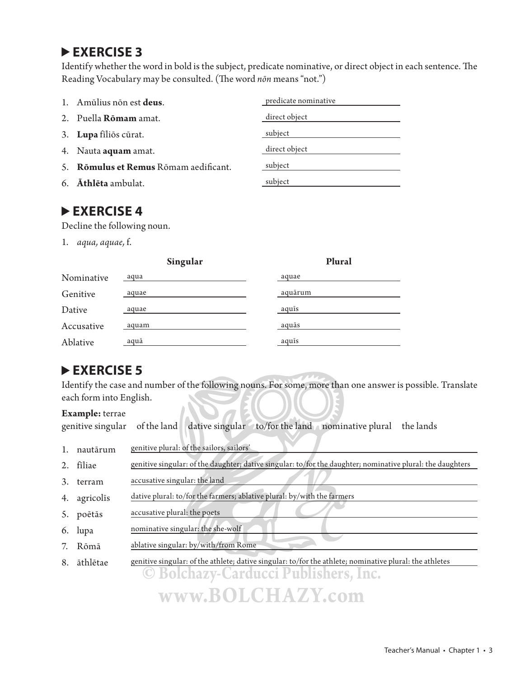Identify whether the word in bold is the subject, predicate nominative, or direct object in each sentence. The Reading Vocabulary may be consulted. (The word *non* means "not.")

| 1. Amūlius non est deus.              | predicate nominative |
|---------------------------------------|----------------------|
| 2. Puella <b>Rōmam</b> amat.          | direct object        |
| 3. Lupa filios cūrat.                 | subject              |
| 4. Nauta <b>aquam</b> amat.           | direct object        |
| 5. Romulus et Remus Romam aedificant. | subject              |
| 6. Athlēta ambulat.                   | subject              |

#### **EXERCISE 4**

Decline the following noun.

1. *aqua, aquae,* f.

|            | Singular | Plural  |
|------------|----------|---------|
| Nominative | aqua     | aquae   |
| Genitive   | aquae    | aquārum |
| Dative     | aquae    | aquīs   |
| Accusative | aquam    | aquās   |
| Ablative   | aquā     | aquis   |

#### **EXERCISE 5**

Identify the case and number of the following nouns. For some, more than one answer is possible. Translate each form into English.

#### **Example:** terrae

|  |  |  |  | genitive singular of the land dative singular to/for the land nominative plural the lands |  |
|--|--|--|--|-------------------------------------------------------------------------------------------|--|
|--|--|--|--|-------------------------------------------------------------------------------------------|--|

|               | nautārum | genitive plural: of the sailors, sailors'                                                                  |
|---------------|----------|------------------------------------------------------------------------------------------------------------|
| $\mathcal{L}$ | fīliae   | genitive singular: of the daughter; dative singular: to/for the daughter; nominative plural: the daughters |

| terram | accusative singular: the land |
|--------|-------------------------------|

- 4. agricolis dative plural: to/for the farmers; ablative plural: by/with the farmers
- 5. poētās accusative plural: the poets
- 6. lupa nominative singular: the she-wolf
- 7. Rōmā ablative singular: by/with/from Rome
- 8. āthlētae genitive singular: of the athlete; dative singular: to/for the athlete; nominative plural: the athletes

**© Bolchazy-Carducci Publishers, Inc. www.BOLCHAZY.com**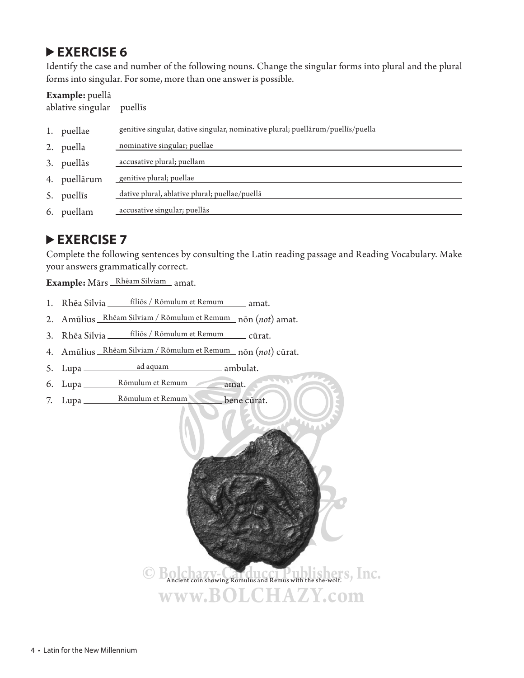Identify the case and number of the following nouns. Change the singular forms into plural and the plural forms into singular. For some, more than one answer is possible.

#### **Example:** puellā

ablative singular puellīs

| 1. | puellae    | genitive singular, dative singular, nominative plural; puellārum/puellīs/puella |
|----|------------|---------------------------------------------------------------------------------|
| 2. | puella     | nominative singular; puellae                                                    |
| 3. | puellās    | accusative plural; puellam                                                      |
| 4. | puellārum  | genitive plural; puellae                                                        |
| 5. | puellis    | dative plural, ablative plural; puellae/puellā                                  |
|    | 6. puellam | accusative singular; puellās                                                    |
|    |            |                                                                                 |

#### **▶ EXERCISE 7**

Complete the following sentences by consulting the Latin reading passage and Reading Vocabulary. Make your answers grammatically correct.

Example: Mārs Rhēam Silviam amat.

- 1. Rhēa Silvia fīliōs / Rōmulum et Remum amat.
- 2. Amūlius Rhēam Silviam / Rōmulum et Remum nōn (*not*) amat.
- 3. Rhēa Silvia fīliōs / Rōmulum et Remum cūrat.
- 4. Amūlius Rhēam Silviam / Rōmulum et Remum nōn (*not*) cūrat.
- 5. Lupa ad aquam ambulat.
- 6. Lupa \_\_\_\_\_\_\_\_ Rōmulum et Remum \_\_\_\_\_\_\_ amat.
- 7. Lupa Rōmulum et Remum bene cūrat.

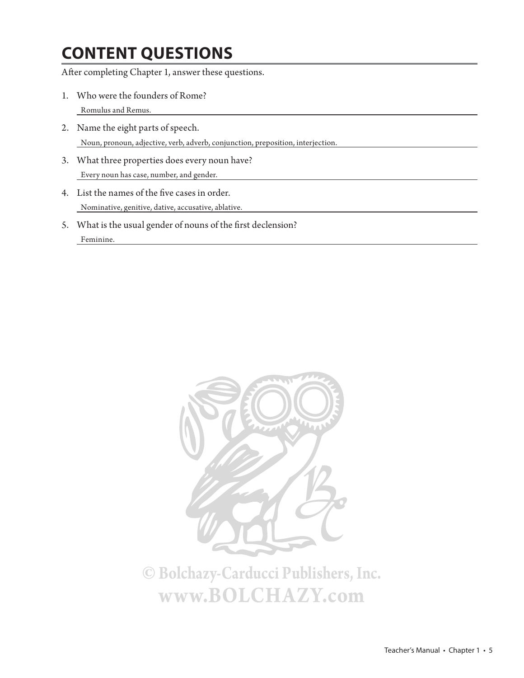## **CONTENT QUESTIONS**

After completing Chapter 1, answer these questions.

- 1. Who were the founders of Rome? Romulus and Remus.
- 2. Name the eight parts of speech. Noun, pronoun, adjective, verb, adverb, conjunction, preposition, interjection.
- 3. What three properties does every noun have? Every noun has case, number, and gender.
- 4. List the names of the five cases in order. Nominative, genitive, dative, accusative, ablative.
- 5. What is the usual gender of nouns of the first declension? Feminine.

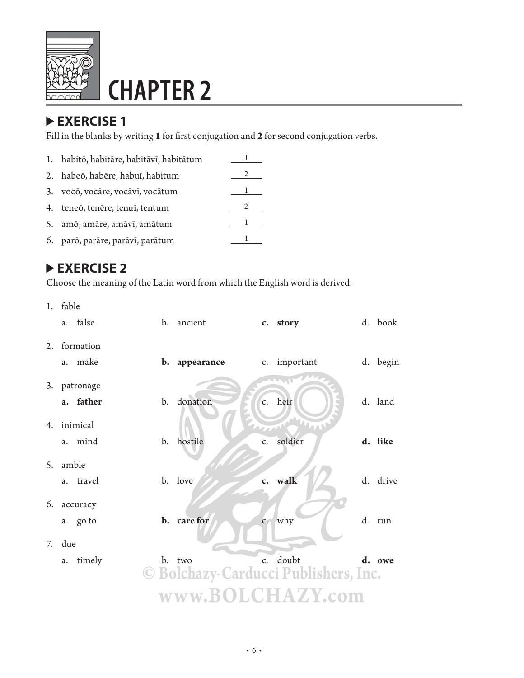

# **CHAPTER 2**

### **EXERCISE 1**

Fill in the blanks by writing 1 for first conjugation and 2 for second conjugation verbs.

| 1. habitō, habitāre, habitāvī, habitātum |  |
|------------------------------------------|--|
| 2. habeō, habēre, habuī, habitum         |  |
| 3. vocō, vocāre, vocāvī, vocātum         |  |
| 4. teneō, tenēre, tenuī, tentum          |  |
| 5. amō, amāre, amāvī, amātum             |  |
| 6. parō, parāre, parāvī, parātum         |  |

### **EXERCISE 2**

Choose the meaning of the Latin word from which the English word is derived.

1. fable

|    |     | a. false     | b. | ancient                              |                | c. story     | d. book  |
|----|-----|--------------|----|--------------------------------------|----------------|--------------|----------|
|    |     | 2. formation |    |                                      |                |              |          |
|    | a.  | make         |    | b. appearance                        |                | c. important | d. begin |
|    |     | 3. patronage |    |                                      |                |              |          |
|    |     | a. father    |    | b. donation                          |                | c. heir      | d. land  |
| 4. |     | inimical     |    |                                      | <b>Part</b>    | WW           |          |
|    | a.  | mind         |    | b. hostile                           | $\mathsf{C}$ . | soldier      | d. like  |
| 5. |     | amble        |    |                                      |                |              |          |
|    | a.  | travel       |    | b. love                              |                | c. walk      | d. drive |
| 6. |     | accuracy     |    |                                      |                |              |          |
|    |     | a. go to     |    | b. care for                          |                | c. why       | d. run   |
| 7. | due |              |    |                                      |                |              |          |
|    | a.  | timely       |    | b. two                               |                | c. doubt     | d. owe   |
|    |     |              |    | © Bolchazy-Carducci Publishers, Inc. |                |              |          |
|    |     |              |    | www.BOLCHAZY.com                     |                |              |          |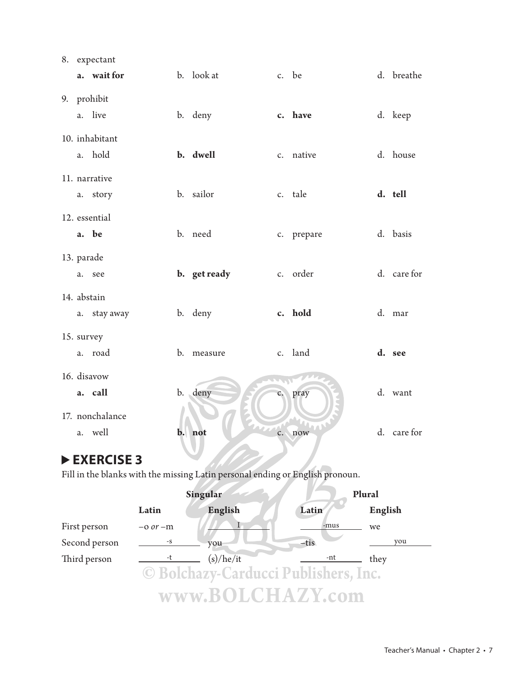|    | 8. expectant    |                |              |                |            |             |
|----|-----------------|----------------|--------------|----------------|------------|-------------|
|    | a. wait for     |                | b. look at   |                | c. be      | d. breathe  |
|    | 9. prohibit     |                |              |                |            |             |
|    | a. live         |                | b. deny      |                | c. have    | d. keep     |
|    | 10. inhabitant  |                |              |                |            |             |
| a. | hold            |                | b. dwell     |                | c. native  | d. house    |
|    | 11. narrative   |                |              |                |            |             |
|    | a. story        |                | b. sailor    |                | c. tale    | d. tell     |
|    | 12. essential   |                |              |                |            |             |
|    | a. be           |                | b. need      |                | c. prepare | d. basis    |
|    | 13. parade      |                |              |                |            |             |
| a. | see             |                | b. get ready |                | c. order   | d. care for |
|    | 14. abstain     |                |              |                |            |             |
|    | a. stay away    |                | b. deny      |                | c. hold    | d. mar      |
|    | 15. survey      |                |              |                |            |             |
|    | a. road         |                | b. measure   |                | c. land    | d. see      |
|    | 16. disavow     |                |              |                |            |             |
|    | a. call         |                | b. deny      |                | c. pray    | d. want     |
|    | 17. nonchalance |                |              |                |            |             |
| a. | well            | $\mathbf{b}$ . | not          | $\mathsf{c}$ . | now        | d. care for |
|    |                 |                |              |                |            |             |

Fill in the blanks with the missing Latin personal ending or English pronoun.

|               | Singular     |           |                                      | Plural  |
|---------------|--------------|-----------|--------------------------------------|---------|
|               | Latin        | English   | Latin                                | English |
| First person  | $-0$ or $-m$ |           | -mus                                 | we      |
| Second person | $-S$         | you       | $-tis$                               | you     |
| Third person  |              | (s)/he/it | -nt                                  | they    |
|               |              |           | © Bolchazy-Carducci Publishers, Inc. |         |
|               |              |           | www.BOLCHAZY.com                     |         |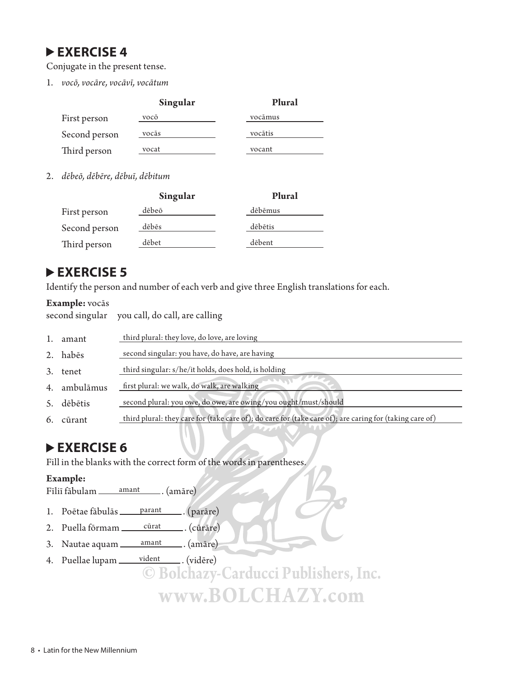Conjugate in the present tense.

1. *vocō, vocāre, vocāvī, vocātum*

|               | Singular | Plural  |
|---------------|----------|---------|
| First person  | vocō     | vocāmus |
| Second person | vocās    | vocātis |
| Third person  | vocat    | vocant  |

2. *dēbeō, dēbēre, dēbuī, dēbitum*

|               | Singular | Plural  |
|---------------|----------|---------|
| First person  | dēbeō    | dēbēmus |
| Second person | dēbēs    | dēbētis |
| Third person  | dēbet    | dēbent  |

#### **EXERCISE 5**

Identify the person and number of each verb and give three English translations for each.

#### **Example:** vocās

second singular you call, do call, are calling

|    | amant     | third plural: they love, do love, are loving                                                            |
|----|-----------|---------------------------------------------------------------------------------------------------------|
|    | 2. habēs  | second singular: you have, do have, are having                                                          |
| 3. | tenet     | third singular: s/he/it holds, does hold, is holding                                                    |
| 4. | ambulāmus | first plural: we walk, do walk, are walking                                                             |
| 5. | dēbētis   | second plural: you owe, do owe, are owing/you ought/must/should                                         |
| 6. | cūrant    | third plural: they care for (take care of); do care for (take care of); are caring for (taking care of) |
|    |           |                                                                                                         |

#### **EXERCISE 6**

Fill in the blanks with the correct form of the words in parentheses.

#### **Example:**

Fīliī fābulam *amant* . (amāre)

- 1. Poētae fābulās <u>parant</u> . (parāre)
- 2. Puella fōrmam cūrat . (cūrāre)
- 3. Nautae aquam \_\_\_\_ amant \_\_\_\_. (amāre)
- 4. Puellae lupam \_\_\_\_ vident \_\_\_\_\_. (vidēre)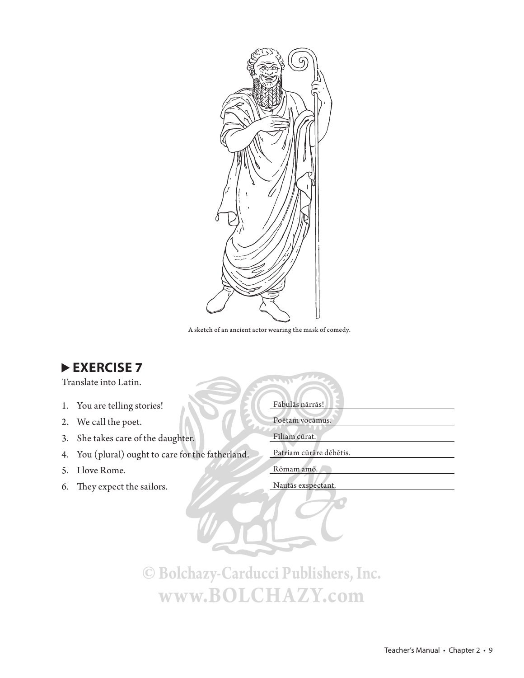

A sketch of an ancient actor wearing the mask of comedy.

Translate into Latin.

- 1. You are telling stories!
- 2. We call the poet.
- 3. She takes care of the daughter. Filiam cūrat.
- 4. You (plural) ought to care for the fatherland. Patriam cūrāre dēbētis.
- 5. I love Rome. Rōmam amō.
- 6. They expect the sailors. Nautās exspectant.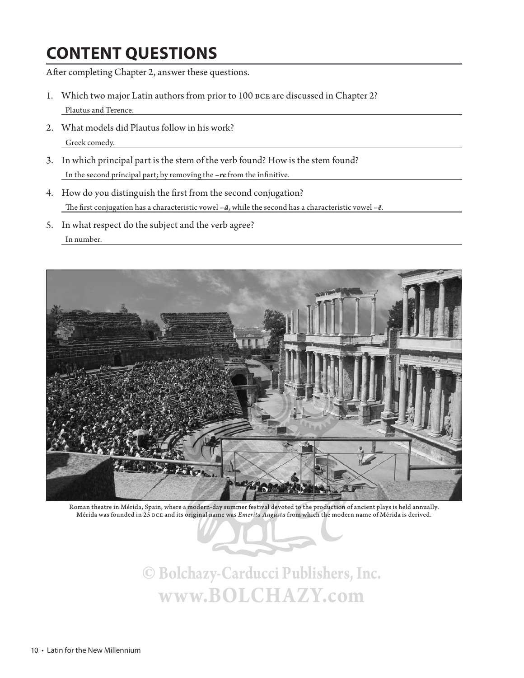## **CONTENT QUESTIONS**

After completing Chapter 2, answer these questions.

- 1. Which two major Latin authors from prior to 100 bce are discussed in Chapter 2? Plautus and Terence.
- 2. What models did Plautus follow in his work? Greek comedy.
- 3. In which principal part is the stem of the verb found? How is the stem found? In the second principal part; by removing the -re from the infinitive.
- 4. How do you distinguish the first from the second conjugation? The first conjugation has a characteristic vowel  $-\bar{a}$ , while the second has a characteristic vowel  $-\bar{e}$ .
- 5. In what respect do the subject and the verb agree? In number.



Roman theatre in Mérida, Spain, where a modern-day summer festival devoted to the production of ancient plays is held annually. Mérida was founded in 25 bce and its original name was *Emerita Augusta* from which the modern name of Mérida is derived.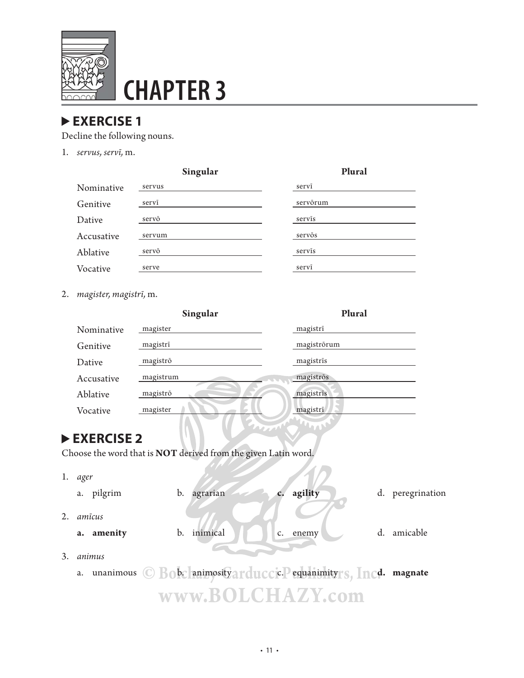

# **CHAPTER 3**

### **EXERCISE 1**

Decline the following nouns.

1. *servus, servī,* m.

|            | Singular | Plural   |
|------------|----------|----------|
| Nominative | servus   | servī    |
| Genitive   | servī    | servõrum |
| Dative     | servō    | servis   |
| Accusative | servum   | servõs   |
| Ablative   | servō    | servīs   |
| Vocative   | serve    | servī    |

2. *magister, magistrī,* m.

|    |                        | Singular                                                       | Plural               |                  |  |
|----|------------------------|----------------------------------------------------------------|----------------------|------------------|--|
|    | Nominative             | magister                                                       | magistrī             |                  |  |
|    | Genitive               | magistrī                                                       | magiströrum          |                  |  |
|    | Dative                 | magistrō                                                       | magistris            |                  |  |
|    | Accusative             | magistrum                                                      | magiströs            |                  |  |
|    | Ablative               | magistrō                                                       | magistrīs            |                  |  |
|    | Vocative               | magister                                                       | magistrī             |                  |  |
|    |                        |                                                                | $\mathbf{a}_1$<br>mm |                  |  |
|    | EXERCISE 2             |                                                                |                      |                  |  |
|    |                        | Choose the word that is NOT derived from the given Latin word. |                      |                  |  |
| 1. | ager                   |                                                                |                      |                  |  |
|    | a. pilgrim             | agrarian<br>b.                                                 | agility              | d. peregrination |  |
| 2. | amīcus                 |                                                                |                      |                  |  |
|    | a. amenity             | inimical<br>b.                                                 | enemy<br>c.          | amicable<br>d.   |  |
| 3. | animus                 |                                                                |                      |                  |  |
|    | $\sf{unanimous}$<br>a. | © Bobc animosity arduccic. Pequanimityrs, Incd. magnate        |                      |                  |  |
|    |                        |                                                                | www.BOLCHAZY.com     |                  |  |
|    |                        |                                                                |                      |                  |  |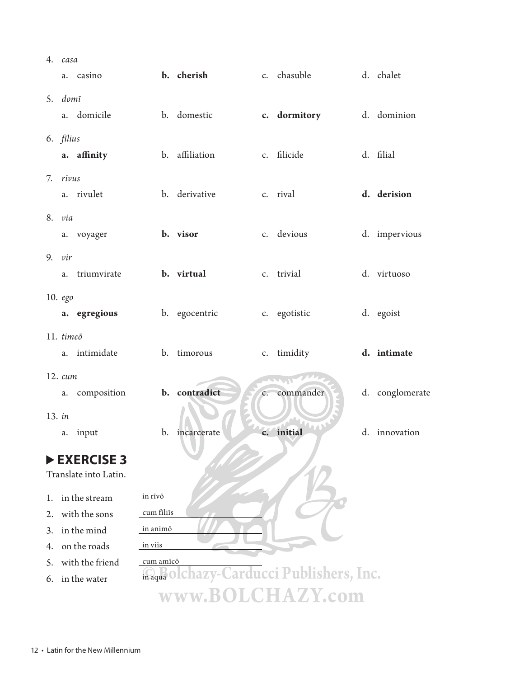| 4.     | casa                |                       |            |                |                |                                         |  |                 |
|--------|---------------------|-----------------------|------------|----------------|----------------|-----------------------------------------|--|-----------------|
|        | a.                  | casino                |            | b. cherish     |                | c. chasuble                             |  | d. chalet       |
|        | 5. domī             |                       |            |                |                |                                         |  |                 |
|        |                     | a. domicile           |            | b. domestic    |                | c. dormitory                            |  | d. dominion     |
|        | 6. filius           |                       |            |                |                |                                         |  |                 |
|        |                     | a. affinity           |            | b. affiliation |                | c. filicide                             |  | d. filial       |
| 7.     | rīvus               |                       |            |                |                |                                         |  |                 |
|        |                     | a. rivulet            |            | b. derivative  |                | c. rival                                |  | d. derision     |
|        | 8. via              |                       |            |                |                |                                         |  |                 |
|        |                     | a. voyager            |            | b. visor       |                | c. devious                              |  | d. impervious   |
| 9.     | vir                 |                       |            |                |                |                                         |  |                 |
|        | a.                  | triumvirate           |            | b. virtual     |                | c. trivial                              |  | d. virtuoso     |
|        | 10. ego             |                       |            |                |                |                                         |  |                 |
|        |                     | a. egregious          |            | b. egocentric  |                | c. egotistic                            |  | d. egoist       |
|        | 11. timeō           |                       |            |                |                |                                         |  |                 |
|        | a.                  | intimidate            |            | b. timorous    |                | c. timidity                             |  | d. intimate     |
|        | $12. \; \text{cum}$ |                       |            |                |                |                                         |  |                 |
|        | a.                  | composition           |            | b. contradict  | $C_{\star}$    | $\mathbf{L}$<br>commander               |  | d. conglomerate |
|        |                     |                       |            |                |                |                                         |  |                 |
| 13. in |                     |                       |            |                |                |                                         |  |                 |
|        | a.                  | input                 | b.         | incarcerate    | $\mathbf{c}$ . | initial                                 |  | d. innovation   |
|        |                     | EXERCISE 3            |            |                |                |                                         |  |                 |
|        |                     | Translate into Latin. |            |                |                |                                         |  |                 |
| 1.     |                     | in the stream         | in rīvō    |                |                |                                         |  |                 |
| 2.     |                     | with the sons         | cum filiis |                |                |                                         |  |                 |
|        |                     | in the mind           | in animõ   |                |                |                                         |  |                 |
| 3.     |                     | on the roads          | in viis    |                |                |                                         |  |                 |
| 4.     |                     | with the friend       | cum amīcō  |                |                |                                         |  |                 |
| 5.     |                     |                       |            |                |                | maqua olchazy-Carducci Publishers, Inc. |  |                 |
| 6.     |                     | in the water          |            |                |                |                                         |  |                 |
|        | www.BOLCHAZY.com    |                       |            |                |                |                                         |  |                 |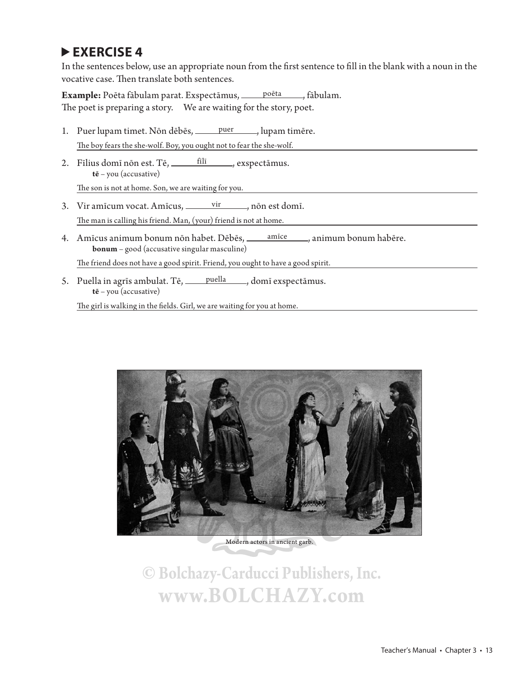In the sentences below, use an appropriate noun from the first sentence to fill in the blank with a noun in the vocative case. Then translate both sentences.

Example: Poēta fābulam parat. Exspectāmus, poēta , fābulam. The poet is preparing a story. We are waiting for the story, poet.

- 1. Puer lupam timet. Nōn dēbēs, puer , lupam timēre. The boy fears the she-wolf. Boy, you ought not to fear the she-wolf.
- 2. Fīlius domī nōn est. Tē, fīlī , exspectāmus. **tē** – you (accusative)

The son is not at home. Son, we are waiting for you.

- 3. Vir amīcum vocat. Amīcus,  $\frac{vir}{\ }$ , nōn est domī. The man is calling his friend. Man, (your) friend is not at home.
- 4. Amīcus animum bonum nōn habet. Dēbēs, <u>māce , animum bonum habēre</u>. **bonum** – good (accusative singular masculine)

The friend does not have a good spirit. Friend, you ought to have a good spirit.

5. Puella in agrīs ambulat. Tē, puella , domī exspectāmus. **tē** – you (accusative)

The girl is walking in the fields. Girl, we are waiting for you at home.



Modern actors in ancient garb.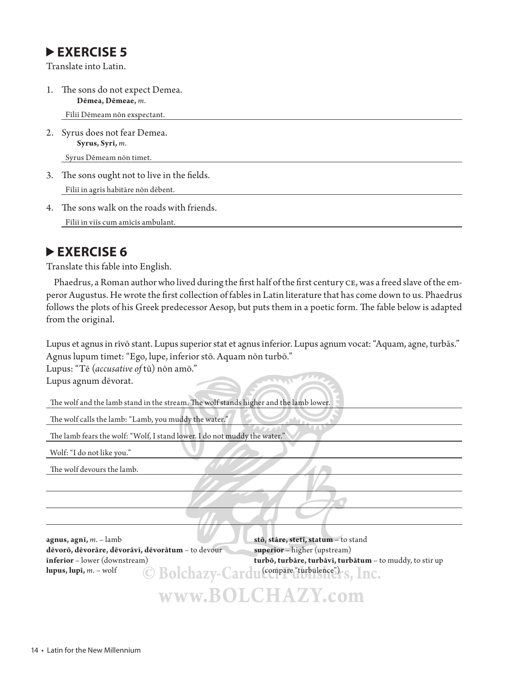Translate into Latin.

1. The sons do not expect Demea. **Dēmea, Dēmeae,** *m*.

Fīliī Dēmeam nōn exspectant.

2. Syrus does not fear Demea. **Syrus, Syrī,** *m*.

Syrus Dēmeam nōn timet.

- 3. The sons ought not to live in the fields. Fīliī in agrīs habitāre nōn dēbent.
- 4. The sons walk on the roads with friends. Fīliī in viīs cum amīcīs ambulant.

#### **EXERCISE 6**

Translate this fable into English.

Phaedrus, a Roman author who lived during the first half of the first century CE, was a freed slave of the emperor Augustus. He wrote the first collection of fables in Latin literature that has come down to us. Phaedrus follows the plots of his Greek predecessor Aesop, but puts them in a poetic form. The fable below is adapted from the original.

Lupus et agnus in rīvō stant. Lupus superior stat et agnus īnferior. Lupus agnum vocat: "Aquam, agne, turbās." Agnus lupum timet: "Ego, lupe, īnferior stō. Aquam nōn turbō."

Lupus: "Tē (*accusative of* tū) nōn amō."

Lupus agnum dēvorat.

The wolf and the lamb stand in the stream. The wolf stands higher and the lamb lower.

The wolf calls the lamb: "Lamb, you muddy the water."

The lamb fears the wolf: "Wolf, I stand lower. I do not muddy the water."

Wolf: "I do not like you."

The wolf devours the lamb.

**agnus, agnī,** *m*. – lamb **stō, stāre, stetī, statum** – to stand **dēvorō, dēvorāre, dēvorāvī, dēvorātum** – to devour **superior** – higher (upstream) lupus, lupā, *m.* – wolf **COROLEGY** Cardu (compare "turbulence")

**īnferior** – lower (downstream) **turbō, turbāre, turbāvī, turbātum** – to muddy, to stir up

**www.BOLCHAZY.com**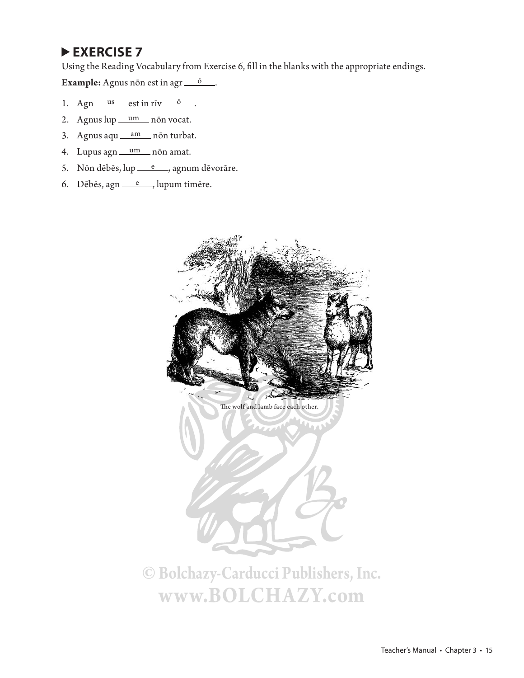Using the Reading Vocabulary from Exercise 6, fill in the blanks with the appropriate endings.

**Example:** Agnus non est in agr $\frac{0}{\sqrt{2}}$ .

- 1. Agn  $\frac{\text{us}}{\text{us}}$  est in rīv  $\frac{\text{0}}{\text{0}}$ .
- 2. Agnus lup <u>um</u> non vocat.
- 3. Agnus aqu am non turbat.
- 4. Lupus agn um non amat.
- 5. Nōn dēbēs, lup  $e_{n}$ , agnum dēvorāre.
- 6. Dēbēs, agn  $e$ , lupum timēre.



**www.BOLCHAZY.com**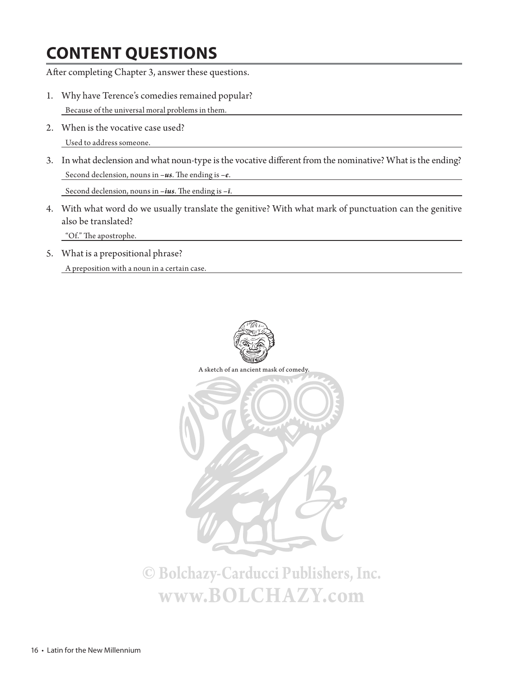## **CONTENT QUESTIONS**

After completing Chapter 3, answer these questions.

- 1. Why have Terence's comedies remained popular? Because of the universal moral problems in them.
- 2. When is the vocative case used? Used to address someone.
- 3. In what declension and what noun-type is the vocative different from the nominative? What is the ending? Second declension, nouns in -us. The ending is -e.

Second declension, nouns in  $-ius$ . The ending is  $-i$ .

4. With what word do we usually translate the genitive? With what mark of punctuation can the genitive also be translated?

"Of." The apostrophe.

5. What is a prepositional phrase?

A preposition with a noun in a certain case.

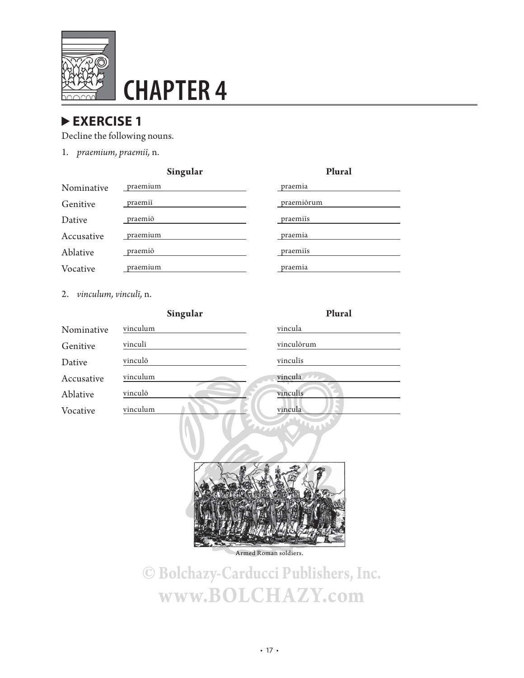

# **CHAPTER 4**

#### **EXERCISE 1**

Decline the following nouns.

1. *praemium, praemiī,* n.

| Singuiar |  |          |  |  |  |  |  |
|----------|--|----------|--|--|--|--|--|
| praemium |  | praemia  |  |  |  |  |  |
| praemiī  |  | praemiõi |  |  |  |  |  |
| praemiō  |  | praemiīs |  |  |  |  |  |
| praemium |  | praemia  |  |  |  |  |  |
| praemiō  |  | praemiīs |  |  |  |  |  |
| praemium |  | praemia  |  |  |  |  |  |
|          |  |          |  |  |  |  |  |

# **Singular Plural** praemiōrum praemiīs

2. *vinculum, vinculī,* n.

|            | Singular | Plural     |
|------------|----------|------------|
| Nominative | vinculum | vincula    |
| Genitive   | vinculī  | vinculõrum |
| Dative     | vinculō  | vinculis   |
| Accusative | vinculum | vincula    |
| Ablative   | vinculō  | vinculis   |
| Vocative   | vinculum | vincula    |
|            |          |            |



Armed Roman soldiers.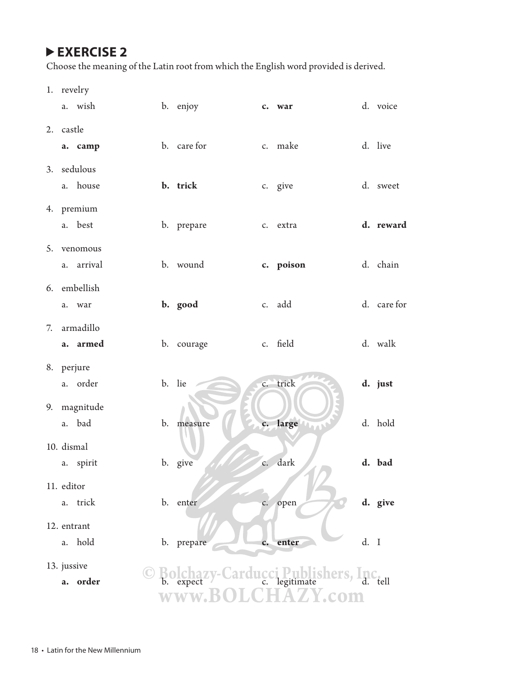Choose the meaning of the Latin root from which the English word provided is derived.

1. revelry

| a. wish                      | b. enjoy                         |                | c. war                 |      | d. voice    |
|------------------------------|----------------------------------|----------------|------------------------|------|-------------|
| 2. castle<br>a. camp         | b. care for                      |                | c. make                |      | d. live     |
| 3. sedulous<br>a. house      | b. trick                         |                | c. give                |      | d. sweet    |
| 4. premium<br>a. best        | b. prepare                       |                | c. extra               |      | d. reward   |
| 5. venomous<br>arrival<br>a. | b. wound                         |                | c. poison              |      | d. chain    |
| 6. embellish<br>war<br>a.    | b. good                          |                | c. add                 |      | d. care for |
| 7. armadillo<br>a. armed     | b. courage                       |                | c. field               |      | d. walk     |
| 8. perjure<br>a. order       | b. lie                           |                | c. trick               |      | d. just     |
| 9. magnitude<br>a. bad       | b. measure                       |                | c. large               |      | d. hold     |
| 10. dismal<br>a. spirit      | b. give                          |                | c. dark                |      | d. bad      |
| 11. editor<br>trick<br>a.    | b. enter                         |                | c. open                |      | d. give     |
| 12. entrant<br>a. hold       | b. prepare                       | $\mathbf{c}$ . | enter                  | d. I |             |
| 13. jussive<br>a. order      | zy-Carducci Publi<br><b>WWW.</b> |                | blishers, Inc.<br>.com |      | tell        |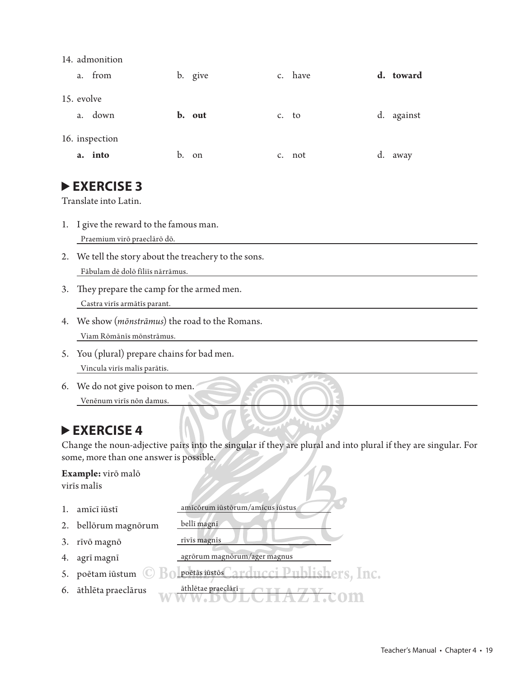| 14. admonition |         |         |           |
|----------------|---------|---------|-----------|
| a. from        | b. give | c. have | d. toward |

|    |                | $\sim$ $\sim$ $\sim$ |       |        |            |
|----|----------------|----------------------|-------|--------|------------|
|    | 15. evolve     |                      |       |        |            |
| a. | down           | b. out               | c. to |        | d. against |
|    | 16. inspection |                      |       |        |            |
|    | a. into        | b. on                |       | c. not | d. away    |

Translate into Latin.

- 1. I give the reward to the famous man. Praemium virō praeclārō dō.
- 2. We tell the story about the treachery to the sons. Fābulam dē dolō fīliīs nārrāmus.
- 3. They prepare the camp for the armed men. Castra virīs armātīs parant.
- 4. We show (*mōnstrāmus*) the road to the Romans. Viam Rōmānīs mōnstrāmus.
- 5. You (plural) prepare chains for bad men. Vincula virīs malīs parātis.
- 6. We do not give poison to men. Venēnum virīs nōn damus.

### **EXERCISE 4**

Change the noun-adjective pairs into the singular if they are plural and into plural if they are singular. For some, more than one answer is possible.

### **Example:** virō malō

|    | <b>EXAMILIPIDE THE HIGHLY</b><br>virīs malīs |                                            |
|----|----------------------------------------------|--------------------------------------------|
| 1. | amīcī iūstī                                  | amīcōrum iūstōrum/amīcus iūstus            |
|    | 2. bellörum magnörum                         | bellī magnī                                |
| 3. | rīvō magnō                                   | rīvīs magnīs                               |
| 4. | agrī magnī                                   | agrörum magnörum/ager magnus               |
| 5. | poētam iūstum                                | Bolpoètas iūstos Carducci Publishers, Inc. |
| 6. | āthlēta praeclārus                           | āthlētae praeclārī                         |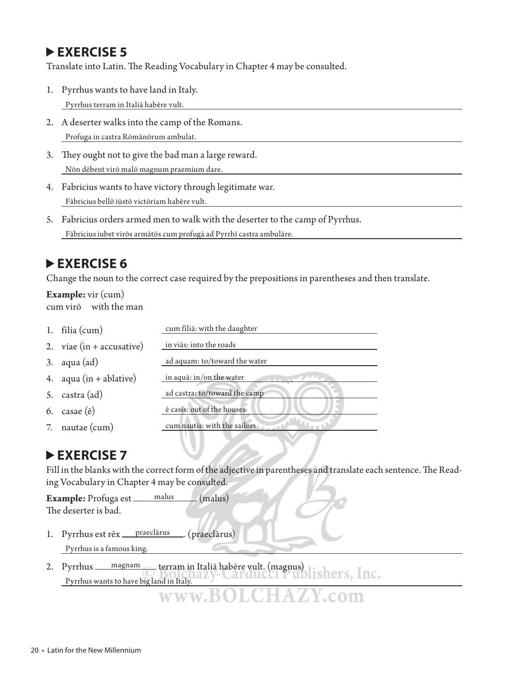Translate into Latin. The Reading Vocabulary in Chapter 4 may be consulted.

- 1. Pyrrhus wants to have land in Italy. Pyrrhus terram in Italiā habēre vult.
- 2. A deserter walks into the camp of the Romans. Profuga in castra Rōmānōrum ambulat.
- 3. They ought not to give the bad man a large reward. Nōn dēbent virō malō magnum praemium dare.
- 4. Fabricius wants to have victory through legitimate war. Fābricius bellō iūstō victōriam habēre vult.
- 5. Fabricius orders armed men to walk with the deserter to the camp of Pyrrhus. Fābricius iubet virōs armātōs cum profugā ad Pyrrhī castra ambulāre.

#### **EXERCISE 6**

Change the noun to the correct case required by the prepositions in parentheses and then translate.

#### **Example:** vir (cum) cum virō with the man

| 1. $\text{filia}(\text{cum})$      | cum filiā: with the daughter  |
|------------------------------------|-------------------------------|
| 2. viae $(in + \text{accusative})$ | in viās: into the roads       |
| $3.$ aqua $(ad)$                   | ad aquam: to/toward the water |
| 4. $aqua(in + ablative)$           | in aqua: in/on the water      |
| 5. castra (ad)                     | ad castra: to/toward the camp |
| 6. casae $(\bar{e})$               | ē casīs: out of the houses    |
| 7. nautae (cum)                    | cum nautīs: with the sailors  |

#### **EXERCISE 7**

Fill in the blanks with the correct form of the adjective in parentheses and translate each sentence. The Reading Vocabulary in Chapter 4 may be consulted.

**Example:** Profuga est malus . (malus) The deserter is bad.

- 1. Pyrrhus est rēx <u>praeclārus</u> (praeclārus) Pyrrhus is a famous king.
- 2. Pyrrhus <u>magnam</u> terram in Italiā habēre vult. (magnus)<br> **Diensities** Pyrrhus wants to have big land in Italy. **www.BOLCHAZY.com**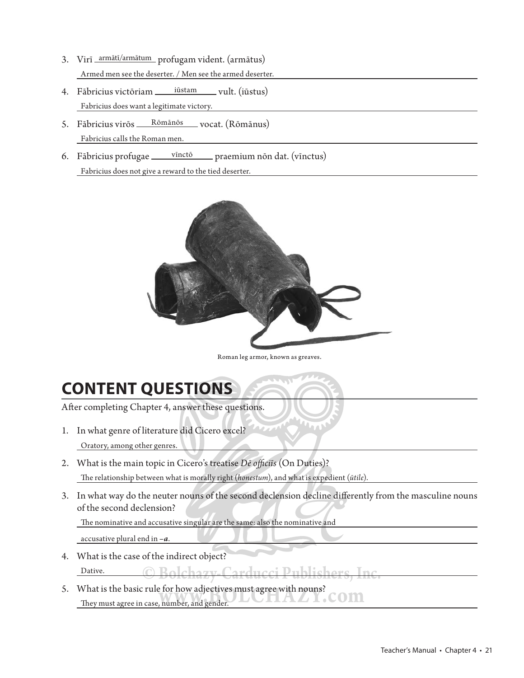- 3. Virī armātī/armātum profugam vident. (armātus) Armed men see the deserter. / Men see the armed deserter.
- 4. Fābricius victōriam iūstam vult. (iūstus) Fabricius does want a legitimate victory.
- 5. Fābricius virōs Rōmānōs vocat. (Rōmānus) Fabricius calls the Roman men.
- 6. Fābricius profugae vīnctō praemium nōn dat. (vīnctus) Fabricius does not give a reward to the tied deserter.



Roman leg armor, known as greaves.

## **CONTENT QUESTIONS**

After completing Chapter 4, answer these questions.

- 1. In what genre of literature did Cicero excel? Oratory, among other genres.
- 2. What is the main topic in Cicero's treatise *Dē officiīs* (On Duties)? The relationship between what is morally right (*honestum*), and what is expedient ( $\tilde{u}$ tile).
- 3. In what way do the neuter nouns of the second declension decline differently from the masculine nouns of the second declension?

The nominative and accusative singular are the same: also the nominative and

accusative plural end in *–a*.

- 4. What is the case of the indirect object? Dative.  $\bigcap$   $\bigcap$   $\bigcap$
- 5. What is the basic rule for how adjectives must agree with nouns? They must agree in case, number, and gender.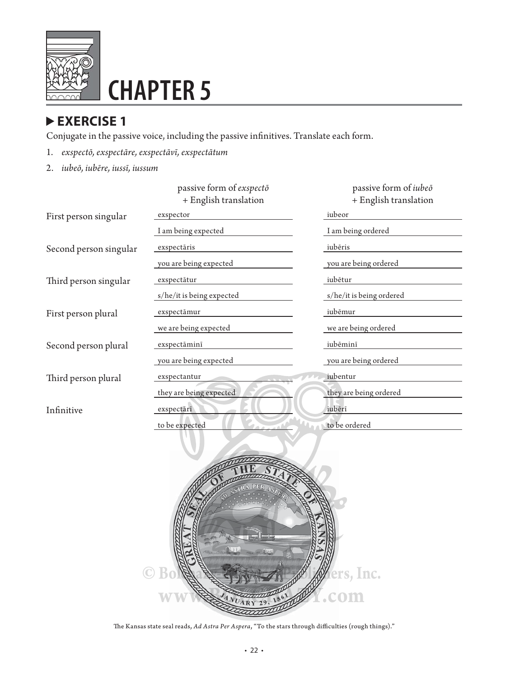

# **CHAPTER 5**

#### **EXERCISE 1**

Conjugate in the passive voice, including the passive infinitives. Translate each form.

- 1. *exspectō, exspectāre, exspectāvī, exspectātum*
- 2. *iubeō, iubēre, iussī, iussum*

|                        | passive form of exspecto<br>+ English translation | passive form of <i>iubeo</i><br>+ English translation |
|------------------------|---------------------------------------------------|-------------------------------------------------------|
| First person singular  | exspector                                         | iubeor                                                |
|                        | I am being expected                               | I am being ordered                                    |
| Second person singular | exspectāris                                       | iubēris                                               |
|                        | you are being expected                            | you are being ordered                                 |
| Third person singular  | exspectātur                                       | iubētur                                               |
|                        | s/he/it is being expected                         | s/he/it is being ordered                              |
| First person plural    | exspectāmur                                       | iubēmur                                               |
|                        | we are being expected                             | we are being ordered                                  |
| Second person plural   | exspectāminī                                      | iubēminī                                              |
|                        | you are being expected                            | you are being ordered                                 |
| Third person plural    | exspectantur                                      | iubentur                                              |
|                        | they are being expected                           | they are being ordered                                |
| Infinitive             | exspectārī                                        | iubērī                                                |
|                        | to be expected                                    | to be ordered                                         |
|                        |                                                   |                                                       |

• 22 •

The Kansas state seal reads, *Ad Astra Per Aspera*, "To the stars through difficulties (rough things)."

**C** Bold & From A Pers, Inc.

**www.BOLCOM**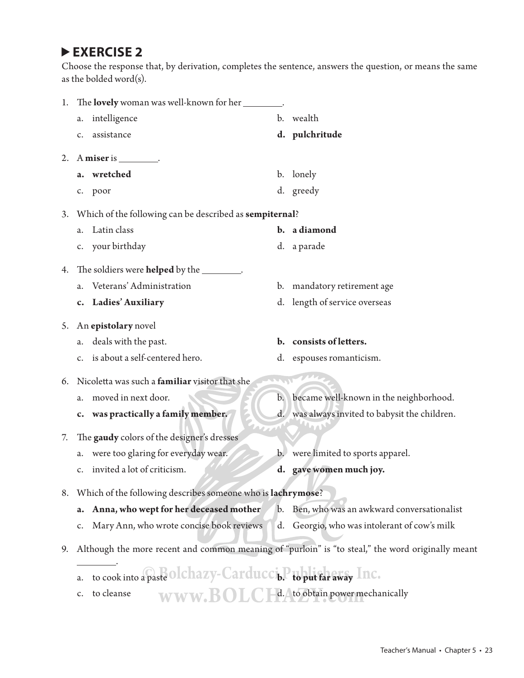Choose the response that, by derivation, completes the sentence, answers the question, or means the same as the bolded word(s).

| 1. | The lovely woman was well-known for her                                                           |                |                                                |
|----|---------------------------------------------------------------------------------------------------|----------------|------------------------------------------------|
|    | intelligence<br>а.                                                                                | b.             | wealth                                         |
|    | assistance<br>c.                                                                                  |                | d. pulchritude                                 |
| 2. | A miser is _________.                                                                             |                |                                                |
|    | wretched<br>a.                                                                                    |                | b. lonely                                      |
|    | c. poor                                                                                           |                | d. greedy                                      |
| 3. | Which of the following can be described as sempiternal?                                           |                |                                                |
|    | Latin class<br>а.                                                                                 |                | b. a diamond                                   |
|    | c. your birthday                                                                                  |                | d. a parade                                    |
| 4. | The soldiers were <b>helped</b> by the _________.                                                 |                |                                                |
|    | Veterans' Administration                                                                          |                | b. mandatory retirement age                    |
|    | c. Ladies' Auxiliary                                                                              |                | d. length of service overseas                  |
| 5. | An epistolary novel                                                                               |                |                                                |
|    | deals with the past.<br>а.                                                                        |                | b. consists of letters.                        |
|    | c. is about a self-centered hero.                                                                 |                | d. espouses romanticism.                       |
| 6. | Nicoletta was such a <b>familiar</b> visitor that she                                             |                |                                                |
|    | moved in next door.<br>a.                                                                         |                | b. became well-known in the neighborhood.      |
|    | c. was practically a family member.                                                               |                | d. was always invited to babysit the children. |
| 7. | The gaudy colors of the designer's dresses                                                        |                |                                                |
|    | a. were too glaring for everyday wear.                                                            | $\mathbf{b}$ . | were limited to sports apparel.                |
|    | invited a lot of criticism.<br>$\mathsf{C}$ .                                                     |                | d. gave women much joy.                        |
| 8. | Which of the following describes someone who is lachrymose?                                       |                |                                                |
|    | Anna, who wept for her deceased mother<br>a.                                                      |                | b. Ben, who was an awkward conversationalist   |
|    | Mary Ann, who wrote concise book reviews<br>c.                                                    | d.             | Georgio, who was intolerant of cow's milk      |
| 9. | Although the more recent and common meaning of "purloin" is "to steal," the word originally meant |                |                                                |
|    | to cook into a paste olchazy-Carducci. Publisheday Inc.<br>a.                                     |                |                                                |
|    | to cleanse<br>c.                                                                                  |                | WWW. BOL C-d. to obtain power mechanically     |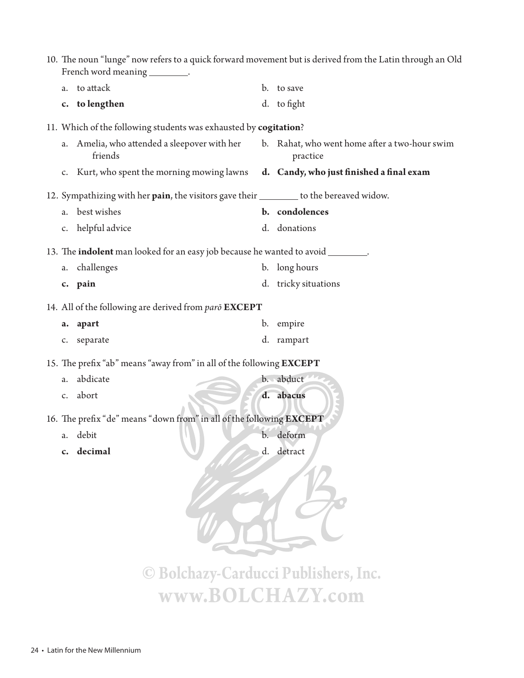|             | French word meaning __________.                                                         | 10. The noun "lunge" now refers to a quick forward movement but is derived from the Latin through an Old |
|-------------|-----------------------------------------------------------------------------------------|----------------------------------------------------------------------------------------------------------|
| a.          | to attack                                                                               | b. to save                                                                                               |
|             | c. to lengthen                                                                          | d. to fight                                                                                              |
|             | 11. Which of the following students was exhausted by cogitation?                        |                                                                                                          |
| a.          | Amelia, who attended a sleepover with her<br>friends                                    | b. Rahat, who went home after a two-hour swim<br>practice                                                |
| $C_{\star}$ | Kurt, who spent the morning mowing lawns                                                | d. Candy, who just finished a final exam                                                                 |
|             | 12. Sympathizing with her pain, the visitors gave their ________ to the bereaved widow. |                                                                                                          |
| a.          | best wishes                                                                             | b. condolences                                                                                           |
| c.          | helpful advice                                                                          | d. donations                                                                                             |
|             | 13. The <b>indolent</b> man looked for an easy job because he wanted to avoid ________. |                                                                                                          |
|             | a. challenges                                                                           | b. long hours                                                                                            |
|             | c. pain                                                                                 | d. tricky situations                                                                                     |
|             | 14. All of the following are derived from paro EXCEPT                                   |                                                                                                          |
|             | a. apart                                                                                | b. empire                                                                                                |
|             | c. separate                                                                             | d. rampart                                                                                               |
|             | 15. The prefix "ab" means "away from" in all of the following EXCEPT                    |                                                                                                          |
| a.          | abdicate                                                                                | b. abduct                                                                                                |
| $C_{\star}$ | abort                                                                                   | d. abacus                                                                                                |
|             | 16. The prefix "de" means "down from" in all of the following EXCEPT                    |                                                                                                          |
|             | a. debit                                                                                | b. deform                                                                                                |
| $c_{\cdot}$ | decimal                                                                                 | d. detract                                                                                               |
|             |                                                                                         |                                                                                                          |
|             | © Bolchazy-Carducci Publishers, Inc.                                                    |                                                                                                          |
|             | www.BOLCHAZY.com                                                                        |                                                                                                          |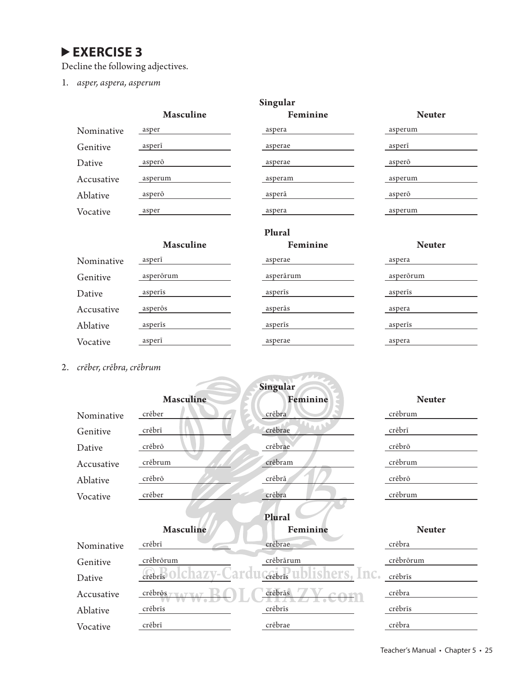Decline the following adjectives.

1. *asper, aspera, asperum*

| Singular   |                  |          |               |  |
|------------|------------------|----------|---------------|--|
|            | <b>Masculine</b> | Feminine | <b>Neuter</b> |  |
| Nominative | asper            | aspera   | asperum       |  |
| Genitive   | asperi           | asperae  | asperi        |  |
| Dative     | asperō           | asperae  | asperō        |  |
| Accusative | asperum          | asperam  | asperum       |  |
| Ablative   | asperō           | asperā   | asperō        |  |
| Vocative   | asper            | aspera   | asperum       |  |
|            |                  | Plural   |               |  |
|            | <b>Masculine</b> | Feminine | <b>Neuter</b> |  |
| Nominative | asperi           | asperae  | aspera        |  |

| Genitive   | asperörum | asperārum | asperorum |
|------------|-----------|-----------|-----------|
| Dative     | asperis   | asperis   | asperis   |
| Accusative | asperos   | asperās   | aspera    |
| Ablative   | asperis   | asperis   | asperis   |
| Vocative   | asperi    | asperae   | aspera    |

2. *crēber, crēbra, crēbrum*

| creder, credit, creditant |                  |                                |  |  |  |
|---------------------------|------------------|--------------------------------|--|--|--|
|                           |                  |                                |  |  |  |
|                           |                  | <b>Neuter</b>                  |  |  |  |
| crēber                    | crēbra           | crēbrum                        |  |  |  |
| crēbrī                    | crēbrae          | crēbrī                         |  |  |  |
| crēbrō                    | crēbrae          | crēbrō                         |  |  |  |
| crēbrum                   | crēbram          | crēbrum                        |  |  |  |
| crēbrō                    | crēbrā           | crēbrō                         |  |  |  |
| crēber                    | crēbra           | crēbrum                        |  |  |  |
|                           |                  |                                |  |  |  |
| Masculine                 | Feminine         | <b>Neuter</b>                  |  |  |  |
| crēbrī                    | crēbrae          | crēbra                         |  |  |  |
| crēbrōrum                 | crēbrārum        | crēbrōrum                      |  |  |  |
| crēbrīs                   | Inc<br>crēbrīs   | crēbrīs                        |  |  |  |
| crēbrōs                   | crēbrās          | crēbra                         |  |  |  |
| crēbrīs                   | crēbrīs          | crēbrīs                        |  |  |  |
| crēbrī                    | crēbrae          | crēbra                         |  |  |  |
|                           | <b>Masculine</b> | Singular<br>Feminine<br>Plural |  |  |  |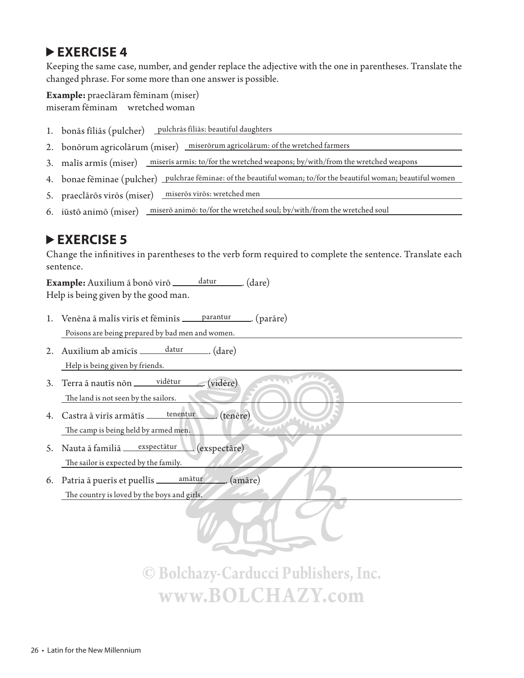Keeping the same case, number, and gender replace the adjective with the one in parentheses. Translate the changed phrase. For some more than one answer is possible.

**Example:** praeclāram fēminam (miser)

miseram fēminam wretched woman

- 1. bonās fīliās (pulcher) pulchrās fīliās: beautiful daughters
- 2. bonōrum agricolārum (miser) miserōrum agricolārum: of the wretched farmers
- 3. malīs armīs (miser) miserīs armīs: to/for the wretched weapons; by/with/from the wretched weapons
- 4. bonae fēminae (pulcher) pulchrae fēminae: of the beautiful woman; to/for the beautiful woman; beautiful women
- 5. praeclārōs virōs (miser) miserōs virōs: wretched men
- 6. iūstō animō (miser) miserō animō: to/for the wretched soul; by/with/from the wretched soul

#### **EXERCISE 5**

Change the infinitives in parentheses to the verb form required to complete the sentence. Translate each sentence.

**Example:** Auxilium ā bonō virō \_\_\_\_\_\_ datur \_\_\_\_\_ (dare) Help is being given by the good man.

- 1. Venēna ā malīs virīs et fēminīs <u>parantur .</u> (parāre) Poisons are being prepared by bad men and women.
- 2. Auxilium ab amīcīs  $\frac{1}{\sqrt{2\pi}}$  datur  $\frac{1}{\sqrt{2\pi}}$  (dare) Help is being given by friends.
- 3. Terra ā nautīs non vidētur ... (vidēre) The land is not seen by the sailors.
- 4. Castra ā virīs armātīs <u>tenentur .</u> (tenēre) The camp is being held by armed men.
- 5. Nauta ā familiā exspectātur . (exspectāre) The sailor is expected by the family.
- 6. Patria ā puerīs et puellīs amātur . (amāre) The country is loved by the boys and girls.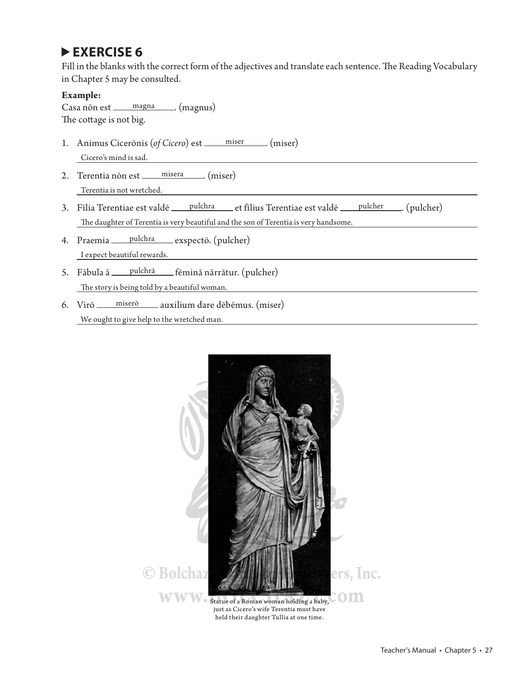Fill in the blanks with the correct form of the adjectives and translate each sentence. The Reading Vocabulary in Chapter 5 may be consulted.

#### **Example:**

Casa non est \_\_\_\_\_ magna \_\_\_\_\_, (magnus) The cottage is not big.

- 1. Animus Cicerōnis (*of Cicero*) est <u>miser</u> (miser) Cicero's mind is sad.
- 2. Terentia non est \_\_\_\_\_ misera \_\_\_\_\_ (miser) Terentia is not wretched.
- 3. Fīlia Terentiae est valdē pulchra et fīlius Terentiae est valdē pulcher ... (pulcher) The daughter of Terentia is very beautiful and the son of Terentia is very handsome.
- 4. Praemia \_\_\_ pulchra \_\_\_ exspectō. (pulcher) I expect beautiful rewards.
- 5. Fābula ā pulchrā fēminā nārrātur. (pulcher) The story is being told by a beautiful woman.
- 6. Virō \_\_\_\_ miserō \_\_\_\_ auxilium dare dēbēmus. (miser) We ought to give help to the wretched man.

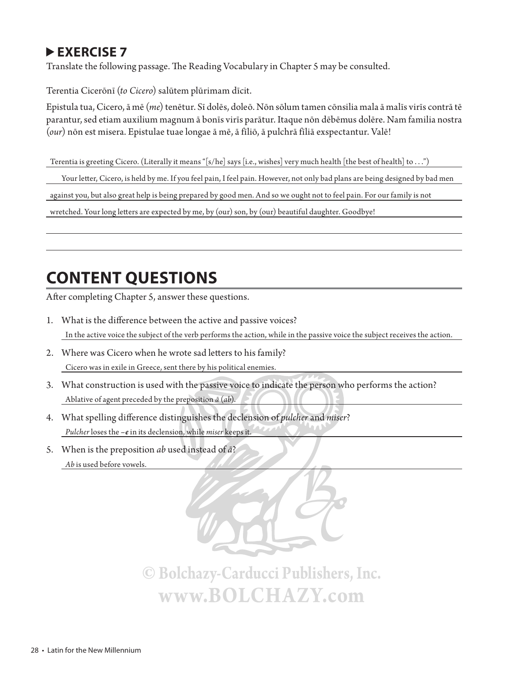### **▶ EXERCISE 7**

Translate the following passage. The Reading Vocabulary in Chapter 5 may be consulted.

Terentia Cicerōnī (*to Cicero*) salūtem plūrimam dīcit.

Epistula tua, Cicero, ā mē (*me*) tenētur. Sī dolēs, doleō. Nōn sōlum tamen cōnsilia mala ā malīs virīs contrā tē parantur, sed etiam auxilium magnum ā bonīs virīs parātur. Itaque nōn dēbēmus dolēre. Nam familia nostra (*our*) nōn est misera. Epistulae tuae longae ā mē, ā fīliō, ā pulchrā fīliā exspectantur. Valē!

Terentia is greeting Cicero. (Literally it means "[s/he] says [i.e., wishes] very much health [the best of health] to . . .")

Your letter, Cicero, is held by me. If you feel pain, I feel pain. However, not only bad plans are being designed by bad men

against you, but also great help is being prepared by good men. And so we ought not to feel pain. For our family is not

wretched. Your long letters are expected by me, by (our) son, by (our) beautiful daughter. Goodbye!

## **CONTENT QUESTIONS**

After completing Chapter 5, answer these questions.

- 1. What is the difference between the active and passive voices? In the active voice the subject of the verb performs the action, while in the passive voice the subject receives the action.
- 2. Where was Cicero when he wrote sad letters to his family? Cicero was in exile in Greece, sent there by his political enemies.
- 3. What construction is used with the passive voice to indicate the person who performs the action? Ablative of agent preceded by the preposition *ā* (*ab*).
- 4. What spelling difference distinguishes the declension of *pulcher* and *miser*? *Pulcher* loses the *–e* in its declension, while *miser* keeps it.
- 5. When is the preposition *ab* used instead of *ā*? *Ab* is used before vowels.

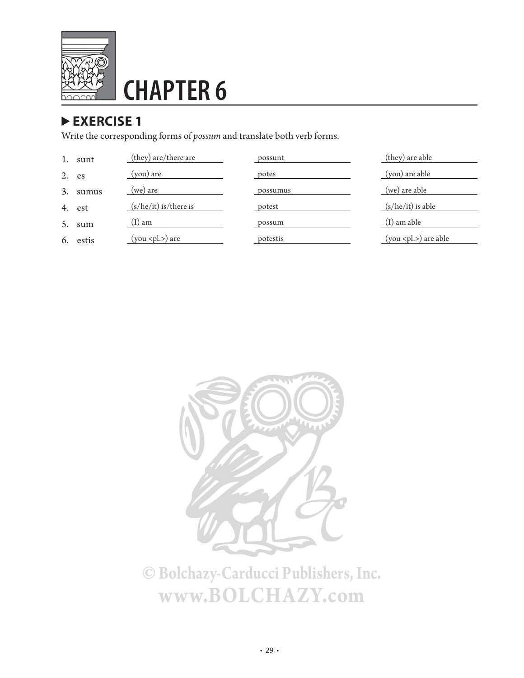

# **CHAPTER 6**

### **EXERCISE 1**

Write the corresponding forms of *possum* and translate both verb forms.

|    | sunt   | (they) are/there are    | possunt  | (they) are able             |
|----|--------|-------------------------|----------|-----------------------------|
| 2. | es     | (you) are               | potes    | (you) are able              |
| 3. | sumus  | $(we)$ are              | possumus | (we) are able               |
|    | 4. est | $(s/he/it)$ is/there is | potest   | $(s/he/it)$ is able         |
| 5. | sum    | $(I)$ am                | possum   | $(I)$ am able               |
| 6. | estis  | $(you <$ pl.>) are      | potestis | $(you <$ pl. $>$ ) are able |

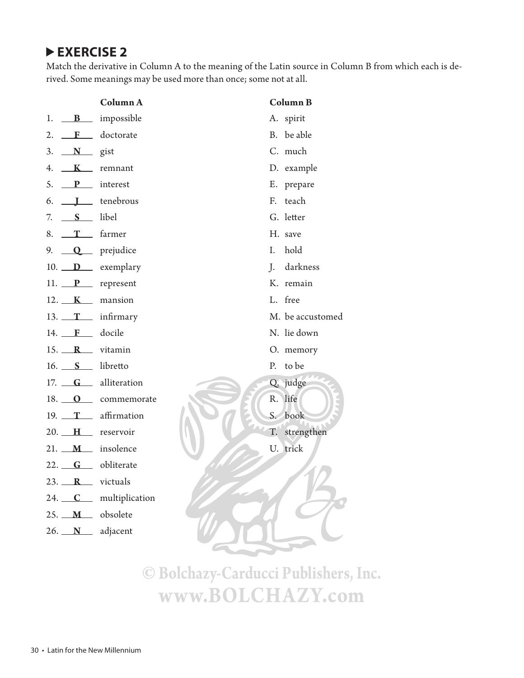Match the derivative in Column A to the meaning of the Latin source in Column B from which each is derived. Some meanings may be used more than once; some not at all.

|                           | Column A                       |  |             | <b>Column B</b>  |
|---------------------------|--------------------------------|--|-------------|------------------|
|                           | 1. $\mathbf{B}$ impossible     |  |             | A. spirit        |
|                           | 2. $\mathbf{F}$ doctorate      |  |             | B. be able       |
| 3. $N$ gist               |                                |  |             | C. much          |
|                           | 4. $K$ remnant                 |  |             | D. example       |
| 5. P interest             |                                |  |             | E. prepare       |
|                           | $6.$ $\qquad \qquad$ tenebrous |  |             | F. teach         |
| 7. $S$ libel              |                                |  |             | G. letter        |
| 8. $T_{\text{r}}$ farmer  |                                |  |             | H. save          |
|                           | 9. $Q$ prejudice               |  | I.          | hold             |
|                           | 10. $D$ exemplary              |  |             | J. darkness      |
|                           | 11. $P$ represent              |  |             | K. remain        |
|                           | $12.$ K mansion                |  |             | L. free          |
|                           | 13. $T$ infirmary              |  |             | M. be accustomed |
| 14. <b>F</b> docile       |                                |  |             | N. lie down      |
|                           | 15. $\mathbf{R}$ vitamin       |  |             | O. memory        |
| 16. S libretto            |                                |  |             | P. to be         |
|                           | 17. <b>G</b> alliteration      |  |             | Q. judge         |
|                           | 18. O commemorate              |  |             | R. life          |
|                           | 19. $T$ affirmation            |  | $S_{\cdot}$ | book             |
|                           | 20. H reservoir                |  |             | T. strengthen    |
|                           | $21.$ $M$ insolence            |  |             | U. trick         |
|                           | 22. <b>G</b> obliterate        |  |             |                  |
| 23. $\mathbb{R}$ victuals |                                |  |             |                  |
| 24. $C$                   | multiplication                 |  |             |                  |
| 25. $M$                   | obsolete                       |  |             |                  |
| $26.$ N                   | adjacent                       |  |             |                  |
|                           |                                |  |             |                  |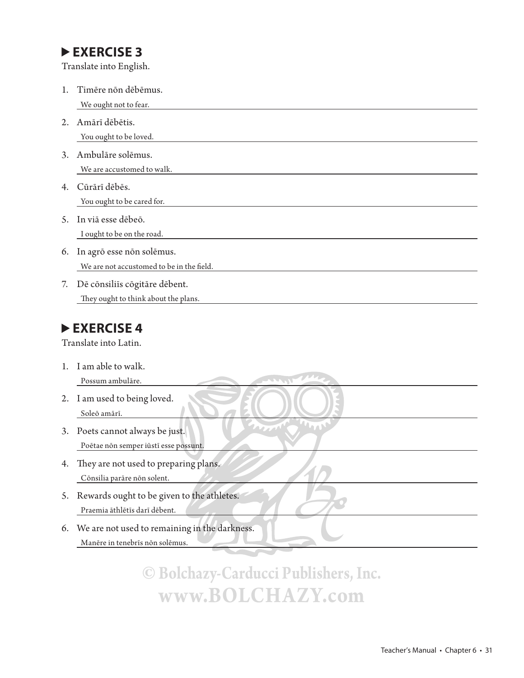Translate into English.

| 1.      | Timēre non dēbēmus.                                                       |
|---------|---------------------------------------------------------------------------|
| 2.      | We ought not to fear.<br>Amārī dēbētis.                                   |
| 3.      | You ought to be loved.<br>Ambulāre solēmus.<br>We are accustomed to walk. |
| 4.      | Cūrārī dēbēs.<br>You ought to be cared for.                               |
| 5.      | In viā esse dēbeō.<br>I ought to be on the road.                          |
| 6.      | In agrō esse non solēmus.<br>We are not accustomed to be in the field.    |
| 7.      | Dē consiliīs cogitāre dēbent.<br>They ought to think about the plans.     |
|         | EXERCISE 4<br>Translate into Latin.                                       |
| $1_{-}$ | I am able to walk.<br>Possum ambulāre.<br>225.58                          |
| 2.      | I am used to being loved.<br>Soleō amārī.                                 |

- 3. Poets cannot always be just. Poētae nōn semper iūstī esse possunt.
- 4. They are not used to preparing plans. Cōnsilia parāre nōn solent.
- 5. Rewards ought to be given to the athletes. Praemia āthlētīs darī dēbent.
- 6. We are not used to remaining in the darkness. Manēre in tenebrīs nōn solēmus.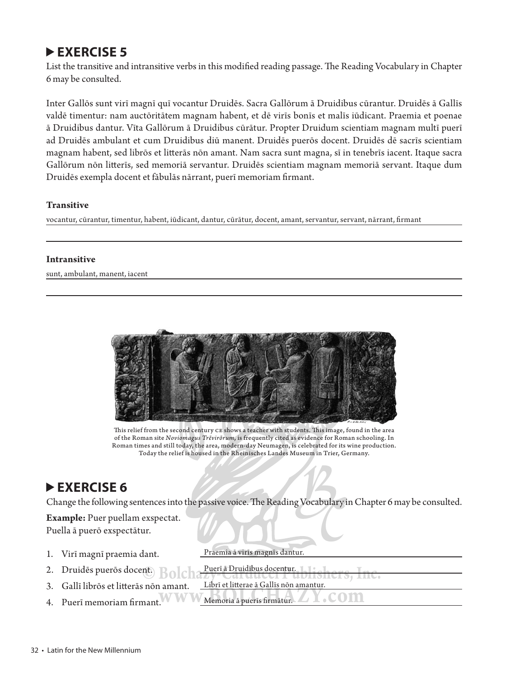List the transitive and intransitive verbs in this modified reading passage. The Reading Vocabulary in Chapter 6 may be consulted.

Inter Gallōs sunt virī magnī quī vocantur Druidēs. Sacra Gallōrum ā Druidibus cūrantur. Druidēs ā Gallīs valdē timentur: nam auctōritātem magnam habent, et dē virīs bonīs et malīs iūdicant. Praemia et poenae ā Druidibus dantur. Vīta Gallōrum ā Druidibus cūrātur. Propter Druidum scientiam magnam multī puerī ad Druidēs ambulant et cum Druidibus diū manent. Druidēs puerōs docent. Druidēs dē sacrīs scientiam magnam habent, sed librōs et litterās nōn amant. Nam sacra sunt magna, sī in tenebrīs iacent. Itaque sacra Gallōrum nōn litterīs, sed memoriā servantur. Druidēs scientiam magnam memoriā servant. Itaque dum Druidēs exempla docent et fābulās nārrant, puerī memoriam firmant.

#### **Transitive**

vocantur, cūrantur, timentur, habent, iūdicant, dantur, cūrātur, docent, amant, servantur, servant, nārrant, firmant

#### **Intransitive**

sunt, ambulant, manent, iacent



This relief from the second century CE shows a teacher with students. This image, found in the area of the Roman site *Noviomagus Trēvirōrum*, is frequently cited as evidence for Roman schooling. In Roman times and still today, the area, modern-day Neumagen, is celebrated for its wine production. Today the relief is housed in the Rheinisches Landes Museum in Trier, Germany.

#### **EXERCISE 6**

Change the following sentences into the passive voice. The Reading Vocabulary in Chapter 6 may be consulted.

**Example:** Puer puellam exspectat. Puella ā puerō exspectātur.

1. Virī magnī praemia dant. Praemia ā virīs magnīs dantur. 2. Druidēs puerōs docent. Puerī <del>a Druidibus docentur. 11. 1.</del> 3. Gallī librōs et litterās nōn amant. 4. Puerī memoriam firmant. WWWMemoria ā puerīs firmātur. Puerī ā Druidibus docentur. <sub>L</sub> Librī et litterae ā Gallīs non amantur.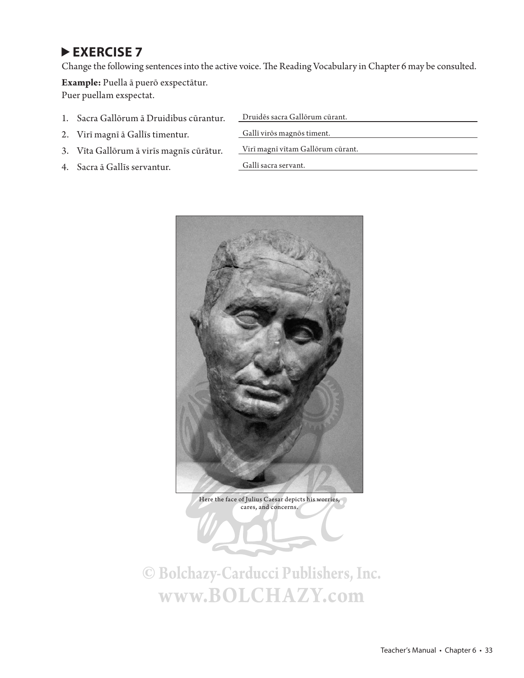Change the following sentences into the active voice. The Reading Vocabulary in Chapter 6 may be consulted.

**Example:** Puella ā puerō exspectātur. Puer puellam exspectat.

- 1. Sacra Gallōrum ā Druidibus cūrantur. Druidēs sacra Gallōrum cūrant.
- 2. Virī magnī ā Gallīs timentur. Gallī virōs magnōs timent.
- 3. Vīta Gallōrum ā virīs magnīs cūrātur. Virī magnī vītam Gallōrum cūrant.
- 4. Sacra ā Gallīs servantur. Gallī sacra servant.
- 
- 
- 



Here the face of Julius Caesar depicts his worries, cares, and concerns.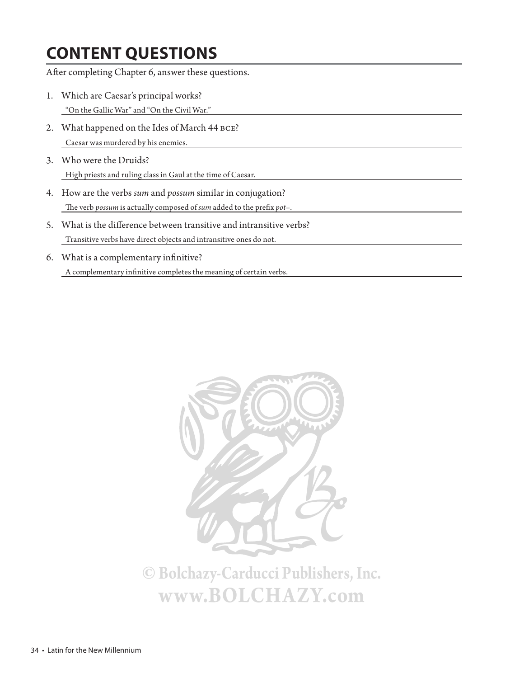## **CONTENT QUESTIONS**

After completing Chapter 6, answer these questions.

- 1. Which are Caesar's principal works? "On the Gallic War" and "On the Civil War."
- 2. What happened on the Ides of March 44 bce? Caesar was murdered by his enemies.
- 3. Who were the Druids? High priests and ruling class in Gaul at the time of Caesar.
- 4. How are the verbs *sum* and *possum* similar in conjugation? The verb *possum* is actually composed of *sum* added to the prefix *pot*-.
- 5. What is the difference between transitive and intransitive verbs? Transitive verbs have direct objects and intransitive ones do not.
- 6. What is a complementary infinitive?  $\Lambda$  complementary infinitive completes the meaning of certain verbs.

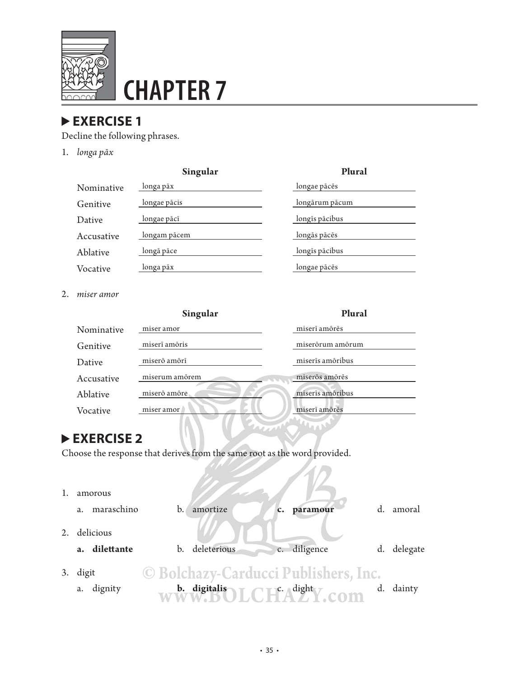

# **CHAPTER 7**

#### **EXERCISE 1**

Decline the following phrases.

1. *longa pāx*

| Singular     | Plural         |
|--------------|----------------|
| longa pāx    | longae pācēs   |
| longae pācis | longārum pācum |
| longae pācī  | longīs pācibus |
| longam pācem | longās pācēs   |
| longā pāce   | longīs pācibus |
| longa pāx    | longae pācēs   |
|              |                |

2. *miser amor*

|            | Singular       | Plural           |
|------------|----------------|------------------|
| Nominative | miser amor     | miserī amōrēs    |
| Genitive   | miserī amōris  | miserörum amörum |
| Dative     | miserō amōrī   | miserīs amōribus |
| Accusative | miserum amõrem | miserõs amõrēs   |
| Ablative   | miserō amōre   | miserīs amōribus |
| Vocative   | miser amor/    | miserī amōrēs    |

**LOW** 

#### **EXERCISE 2**

Choose the response that derives from the same root as the word provided.

|    | amorous             |                                                                                                       |    |             |
|----|---------------------|-------------------------------------------------------------------------------------------------------|----|-------------|
|    | maraschino<br>a.    | amortize<br>b.<br>paramour<br>c.                                                                      | d. | amoral      |
|    | delicious           |                                                                                                       |    |             |
|    | a. dilettante       | c. diligence<br>b. deleterious                                                                        |    | d. delegate |
| 3. | digit<br>a. dignity | © Bolchazy-Carducci Publishers, Inc.<br>b. digitalis<br>$\Box$ c. $\Diamond$ dight $\bigtriangledown$ |    | dainty      |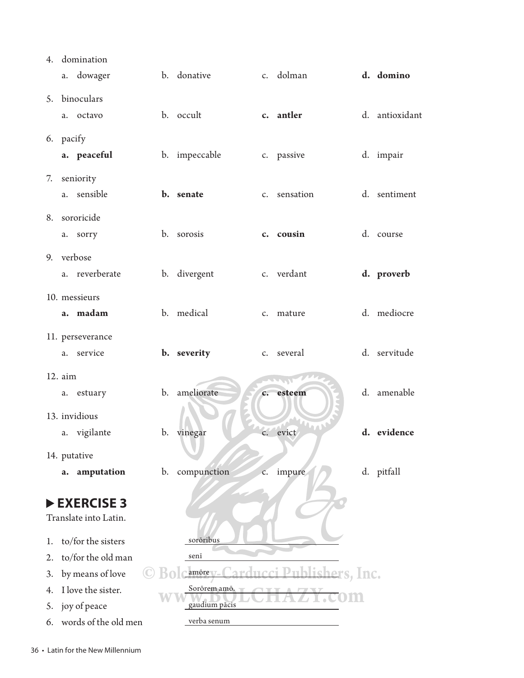|    |                                    | 4. domination                       |                |                           |                |              |                       |                |
|----|------------------------------------|-------------------------------------|----------------|---------------------------|----------------|--------------|-----------------------|----------------|
|    |                                    | a. dowager                          |                | b. donative               |                | c. dolman    |                       | d. domino      |
|    |                                    | 5. binoculars                       |                |                           |                |              |                       |                |
|    | a.                                 | octavo                              |                | b. occult                 |                | c. antler    |                       | d. antioxidant |
|    |                                    |                                     |                |                           |                |              |                       |                |
|    |                                    | 6. pacify                           |                |                           |                |              |                       |                |
|    |                                    | a. peaceful                         |                | b. impeccable             |                | c. passive   |                       | d. impair      |
|    |                                    | 7. seniority                        |                |                           |                |              |                       |                |
|    |                                    | a. sensible                         |                | b. senate                 |                | c. sensation |                       | d. sentiment   |
|    |                                    | 8. sororicide                       |                |                           |                |              |                       |                |
|    | a.                                 | sorry                               |                | b. sorosis                |                | c. cousin    |                       | d. course      |
|    |                                    | 9. verbose                          |                |                           |                |              |                       |                |
|    |                                    | a. reverberate                      |                | b. divergent              |                | c. verdant   |                       | d. proverb     |
|    |                                    |                                     |                |                           |                |              |                       |                |
|    |                                    | 10. messieurs                       |                |                           |                |              |                       |                |
|    |                                    | a. madam                            |                | b. medical                |                | c. mature    |                       | d. mediocre    |
|    |                                    | 11. perseverance                    |                |                           |                |              |                       |                |
|    |                                    | a. service                          |                | b. severity               |                | c. several   |                       | d. servitude   |
|    | 12. aim                            |                                     |                |                           |                |              |                       |                |
|    | a.                                 | estuary                             |                | b. ameliorate             | $c_{\cdot}$    | esteem       |                       | d. amenable    |
|    |                                    |                                     |                |                           |                |              |                       |                |
|    |                                    | 13. invidious                       | b.             |                           |                | evict        |                       | d. evidence    |
|    |                                    | a. vigilante                        |                | vinegar                   | c.             |              |                       |                |
|    |                                    | 14. putative                        |                |                           |                |              |                       |                |
|    | a.                                 | amputation                          | $\mathbf{b}$ . | compunction               | $\mathsf{C}$ . | impure       |                       | d. pitfall     |
|    |                                    |                                     |                |                           |                |              |                       |                |
|    |                                    | EXERCISE 3<br>Translate into Latin. |                |                           |                |              |                       |                |
|    |                                    |                                     |                |                           |                |              |                       |                |
| 1. |                                    | to/for the sisters                  |                | sorōribus                 |                |              |                       |                |
| 2. |                                    | to/for the old man                  |                | senī                      |                |              |                       |                |
| 3. |                                    | by means of love                    |                | $am\bar{o}$ re $\sqrt{-}$ |                |              | <u>blishers, Inc.</u> |                |
| 4. | I love the sister.<br>Sorōrem amō. |                                     |                |                           |                |              |                       |                |
| 5. |                                    | joy of peace                        |                | gaudium pācis             |                |              |                       |                |
| 6. |                                    | words of the old men                |                | verba senum               |                |              |                       |                |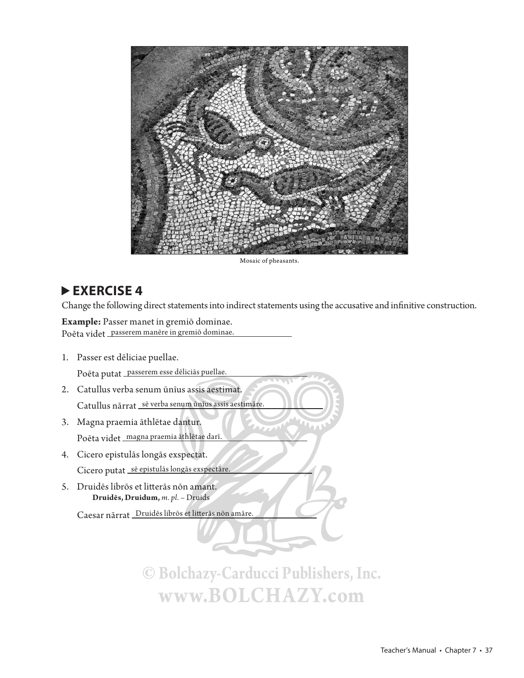

Mosaic of pheasants.

Change the following direct statements into indirect statements using the accusative and infinitive construction.

**Example:** Passer manet in gremiō dominae. Poēta videt passerem manēre in gremiō dominae.

1. Passer est dēliciae puellae.

Poēta putat passerem esse dēliciās puellae.

- 2. Catullus verba senum ūnīus assis aestimat. Catullus nārrat sē verba senum ūnīus assis aestimāre.
- 3. Magna praemia āthlētae dantur. Poēta videt magna praemia āthlētae darī.
- 4. Cicero epistulās longās exspectat. Cicero putat sē epistulās longās exspectāre.
- 5. Druidēs librōs et litterās nōn amant. **Druidēs, Druidum,** *m. pl.* – Druids

Caesar nārrat Druidēs librōs et litterās nōn amāre.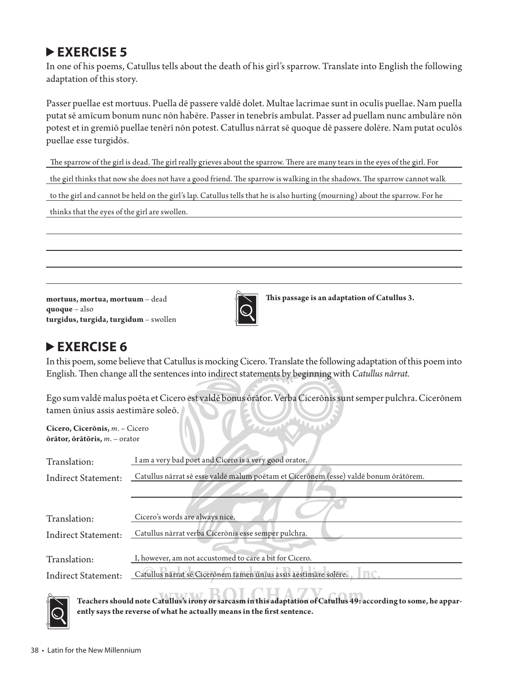In one of his poems, Catullus tells about the death of his girl's sparrow. Translate into English the following adaptation of this story.

Passer puellae est mortuus. Puella dē passere valdē dolet. Multae lacrimae sunt in oculīs puellae. Nam puella putat sē amīcum bonum nunc nōn habēre. Passer in tenebrīs ambulat. Passer ad puellam nunc ambulāre nōn potest et in gremiō puellae tenērī nōn potest. Catullus nārrat sē quoque dē passere dolēre. Nam putat oculōs puellae esse turgidōs.

The sparrow of the girl is dead. The girl really grieves about the sparrow. There are many tears in the eyes of the girl. For

the girl thinks that now she does not have a good friend. The sparrow is walking in the shadows. The sparrow cannot walk

to the girl and cannot be held on the girl's lap. Catullus tells that he is also hurting (mourning) about the sparrow. For he

thinks that the eyes of the girl are swollen.

**mortuus, mortua, mortuum** – dead **quoque** – also **turgidus, turgida, turgidum** – swollen



**Th is passage is an adaptation of Catullus 3.**

#### **EXERCISE 6**

In this poem, some believe that Catullus is mocking Cicero. Translate the following adaptation of this poem into English. Then change all the sentences into indirect statements by beginning with *Catullus nārrat*.

Ego sum valdē malus poēta et Cicero est valdē bonus ōrātor. Verba Cicerōnis sunt semper pulchra. Cicerōnem tamen ūnīus assis aestimāre soleō.

**Cicero, Cicerōnis,** *m*. – Cicero **ōrātor, ōrātōris,** *m*. – orator

| Translation:               | I am a very bad poet and Cicero is a very good orator.                               |  |
|----------------------------|--------------------------------------------------------------------------------------|--|
| Indirect Statement:        | Catullus närrat sē esse valdē malum poētam et Cicerōnem (esse) valdē bonum ōrātōrem. |  |
|                            |                                                                                      |  |
|                            |                                                                                      |  |
| Translation:               | Cicero's words are always nice.                                                      |  |
| <b>Indirect Statement:</b> | Catullus nārrat verba Cicerōnis esse semper pulchra.                                 |  |
|                            |                                                                                      |  |
| Translation:               | I, however, am not accustomed to care a bit for Cicero.                              |  |
| <b>Indirect Statement:</b> | Catullus nărrat se Ciceronem tamen unius assis aestimăre solere.                     |  |
|                            |                                                                                      |  |

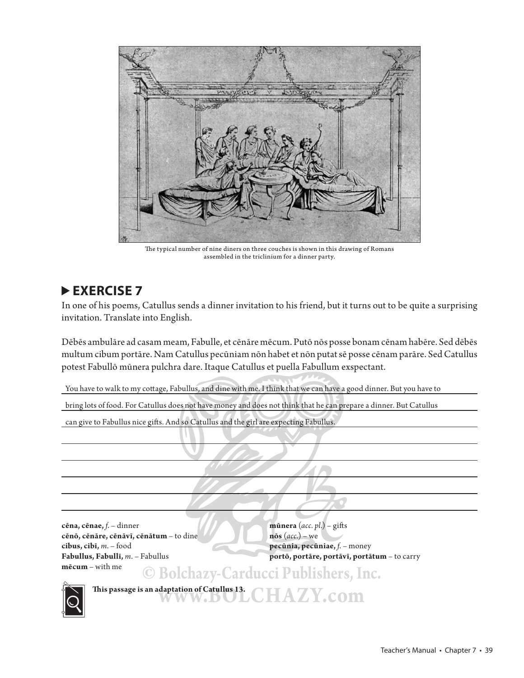

The typical number of nine diners on three couches is shown in this drawing of Romans assembled in the triclinium for a dinner party.

In one of his poems, Catullus sends a dinner invitation to his friend, but it turns out to be quite a surprising invitation. Translate into English.

Dēbēs ambulāre ad casam meam, Fabulle, et cēnāre mēcum. Putō nōs posse bonam cēnam habēre. Sed dēbēs multum cibum portāre. Nam Catullus pecūniam nōn habet et nōn putat sē posse cēnam parāre. Sed Catullus potest Fabullō mūnera pulchra dare. Itaque Catullus et puella Fabullum exspectant.

You have to walk to my cottage, Fabullus, and dine with me. I think that we can have a good dinner. But you have to

bring lots of food. For Catullus does not have money and does not think that he can prepare a dinner. But Catullus

can give to Fabullus nice gifts. And so Catullus and the girl are expecting Fabullus.

**cēna, cēnae,** *f*. – dinner **mūnera** (*acc. pl.*) – gifts **cēnō, cēnāre, cēnāvī, cēnātum** – to dine **nōs** (*acc*.) – we **cibus, cibī,** *m*. – food **pecūnia, pecūniae,** *f*. – money **mēcum** – with me **© Bolchazy-Carducci Publishers, Inc.**

**Fabullus, Fabullī,** *m*. – Fabullus **portō, portāre, portāvī, portātum** – to carry



**Th is passage is an adaptation of Catullus 13. www.BOLCHAZY.com**